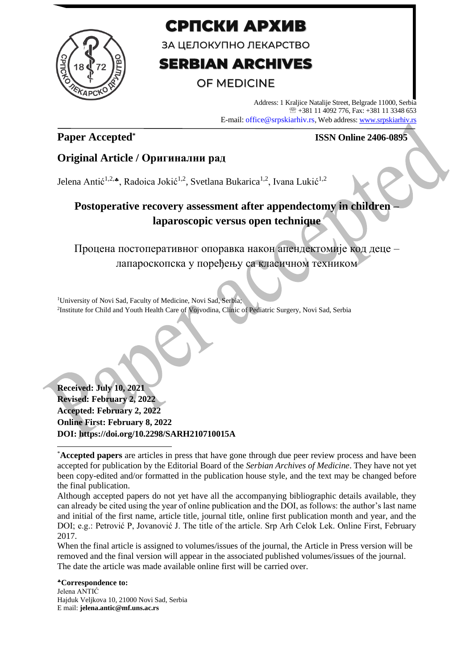

# СРПСКИ АРХИВ

ЗА ЦЕЛОКУПНО ЛЕКАРСТВО

# **SERBIAN ARCHIVES**

# **OF MEDICINE**

Address: 1 Kraljice Natalije Street, Belgrade 11000, Serbia +381 11 4092 776, Fax: +381 11 3348 653 E-mail: office@srpskiarhiv.rs, Web address[: www.srpskiarhiv.rs](http://www.srpskiarhiv.rs/)

# **Paper Accepted\***

### **ISSN Online 2406-0895**

## **Original Article / Оригинални рад**

Jelena Antić<sup>1,2,\*</sup>, Radoica Jokić<sup>1,2</sup>, Svetlana Bukarica<sup>1,2</sup>, Ivana Lukić<sup>1,2</sup>

# **Postoperative recovery assessment after appendectomy in children – laparoscopic versus open technique**

Процена постоперативног опоравка након апендектомије код деце – лапароскопска у поређењу са класичном техником

<sup>1</sup>University of Novi Sad, Faculty of Medicine, Novi Sad, Serbia; 2 Institute for Child and Youth Health Care of Vojvodina, Clinic of Pediatric Surgery, Novi Sad, Serbia

**Received: July 10, 2021 Revised: February 2, 2022 Accepted: February 2, 2022 Online First: February 8, 2022 DOI: https://doi.org/10.2298/SARH210710015A**

When the final article is assigned to volumes/issues of the journal, the Article in Press version will be removed and the final version will appear in the associated published volumes/issues of the journal. The date the article was made available online first will be carried over.

**Correspondence to:** Jelena ANTIĆ Hajduk Veljkova 10, 21000 Novi Sad, Serbia E mail: **jelena.antic@mf.uns.ac.rs**

<sup>\*</sup>**Accepted papers** are articles in press that have gone through due peer review process and have been accepted for publication by the Editorial Board of the *Serbian Archives of Medicine*. They have not yet been copy-edited and/or formatted in the publication house style, and the text may be changed before the final publication.

Although accepted papers do not yet have all the accompanying bibliographic details available, they can already be cited using the year of online publication and the DOI, as follows: the author's last name and initial of the first name, article title, journal title, online first publication month and year, and the DOI; e.g.: Petrović P, Jovanović J. The title of the article. Srp Arh Celok Lek. Online First, February 2017.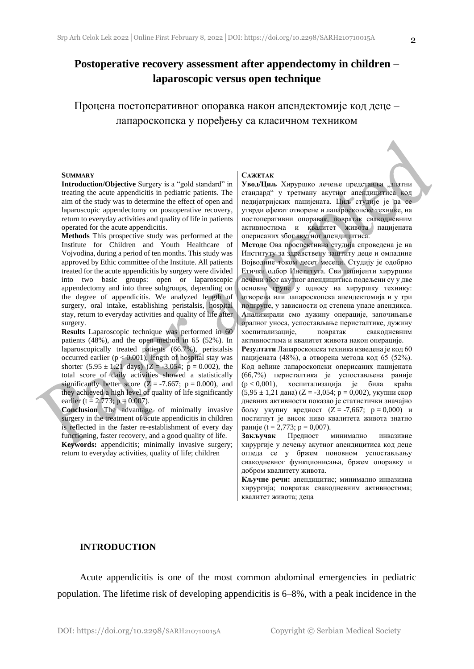## **Postoperative recovery assessment after appendectomy in children – laparoscopic versus open technique**

Процена постоперативног опоравка након апендектомије код деце – лапароскопска у поређењу са класичном техником

#### **SUMMARY**

**Introduction/Objective** Surgery is a "gold standard" in treating the acute appendicitis in pediatric patients. The aim of the study was to determine the effect of open and laparoscopic appendectomy on postoperative recovery, return to everyday activities and quality of life in patients operated for the acute appendicitis.

**Methods** This prospective study was performed at the Institute for Children and Youth Healthcare of Vojvodina, during a period of ten months. This study was approved by Ethic committee of the Institute. All patients treated for the acute appendicitis by surgery were divided into two basic groups: open or laparoscopic appendectomy and into three subgroups, depending on the degree of appendicitis. We analyzed length of surgery, oral intake, establishing peristalsis, hospital stay, return to everyday activities and quality of life after surgery.

**Results** Laparoscopic technique was performed in 60 patients (48%), and the open method in 65 (52%). In laparoscopically treated patients (66.7%), peristalsis occurred earlier ( $p < 0.001$ ), length of hospital stay was shorter  $(5.95 \pm 1.21 \text{ days})$   $(Z = -3.054; \text{ p} = 0.002)$ , the total score of daily activities showed a statistically significantly better score  $(Z = -7.667; p = 0.000)$ , and they achieved a high level of quality of life significantly earlier (t = 2.773;  $p = 0.007$ ).

**Conclusion** The advantage of minimally invasive surgery in the treatment of acute appendicitis in children is reflected in the faster re-establishment of every day functioning, faster recovery, and a good quality of life.

**Keywords:** appendicitis; minimally invasive surgery; return to everyday activities, quality of life; children

#### **САЖЕТАК**

Увод/Циљ Хируршко лечење представља "златни стандард" у третману акутног апендицитиса код педијатријских пацијената. Циљ студије је да се утврди ефекат отворене и лапароскопске технике, на постоперативни опоравак, повратак свакодневним активностима и квалитет живота пацијената оперисаних због акутног апендицитиса.

**Методе** Ова проспективна студија спроведена је на Институту за здравствену заштиту деце и омладине Војводине током десет месеци. Студију је одобрио Етички одбор Института. Сви пацијенти хируршки лечени због акутног апендицитиса подељени су у две основне групе у односу на хируршку технику: отворена или лапароскопска апендектомија и у три подгрупе, у зависности од степена упале апендикса. Анализирали смо дужину операције, започињање оралног уноса, успостављање перисталтике, дужину хоспитализације, повратак свакодневним активностима и квалитет живота након операције. **Резултати** Лапароскопска техника изведена је код 60 пацијената (48%), а отворена метода код 65 (52%). Код већине лапароскопски оперисаних пацијената (66,7%) перисталтика је успостављена раније (p < 0,001), хоспитализација је била краћа  $(5,95 \pm 1,21 \text{ J}$ дана) (Z = -3,054; p = 0,002), укупни скор дневних активности показао је статистички значајно бољу укупну вредност (Z = -7,667; p = 0,000) и постигнут је висок ниво квалитета живота знатно

раније (t = 2,773; p = 0,007). **Закључак** Предност минимално инвазивне хирургије у лечењу акутног апендицитиса код деце огледа се у бржем поновном успостављању свакодневног функционисања, бржем опоравку и добром квалитету живота.

**Кључне речи:** апендицитис; минимално инвазивна хирургија; повратак свакодневним активностима; квалитет живота; деца

#### **INTRODUCTION**

Acute appendicitis is one of the most common abdominal emergencies in pediatric population. The lifetime risk of developing appendicitis is 6–8%, with a peak incidence in the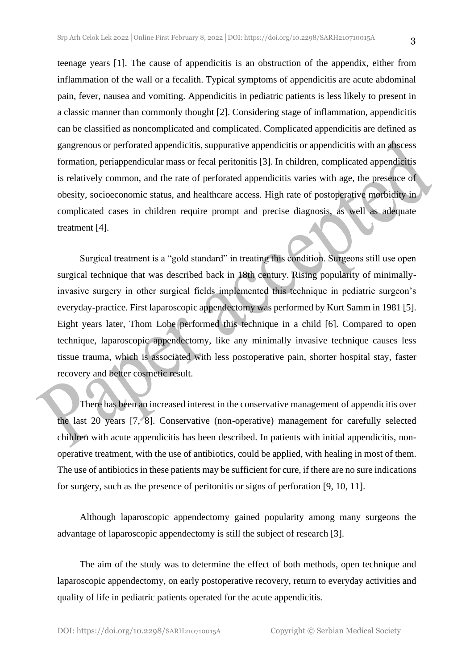teenage years [1]. The cause of appendicitis is an obstruction of the appendix, either from inflammation of the wall or a fecalith. Typical symptoms of appendicitis are acute abdominal pain, fever, nausea and vomiting. Appendicitis in pediatric patients is less likely to present in a classic manner than commonly thought [2]. Considering stage of inflammation, appendicitis can be classified as noncomplicated and complicated. Complicated appendicitis are defined as gangrenous or perforated appendicitis, suppurative appendicitis or appendicitis with an abscess formation, periappendicular mass or fecal peritonitis [3]. In children, complicated appendicitis is relatively common, and the rate of perforated appendicitis varies with age, the presence of obesity, socioeconomic status, and healthcare access. High rate of postoperative morbidity in complicated cases in children require prompt and precise diagnosis, as well as adequate treatment [4].

Surgical treatment is a "gold standard" in treating this condition. Surgeons still use open surgical technique that was described back in 18th century. Rising popularity of minimallyinvasive surgery in other surgical fields implemented this technique in pediatric surgeon's everyday-practice. First laparoscopic appendectomy was performed by Kurt Samm in 1981 [5]. Eight years later, Thom Lobe performed this technique in a child [6]. Compared to open technique, laparoscopic appendectomy, like any minimally invasive technique causes less tissue trauma, which is associated with less postoperative pain, shorter hospital stay, faster recovery and better cosmetic result.

There has been an increased interest in the conservative management of appendicitis over the last 20 years [7, 8]. Conservative (non-operative) management for carefully selected children with acute appendicitis has been described. In patients with initial appendicitis, nonoperative treatment, with the use of antibiotics, could be applied, with healing in most of them. The use of antibiotics in these patients may be sufficient for cure, if there are no sure indications for surgery, such as the presence of peritonitis or signs of perforation [9, 10, 11].

Although laparoscopic appendectomy gained popularity among many surgeons the advantage of laparoscopic appendectomy is still the subject of research [3].

The aim of the study was to determine the effect of both methods, open technique and laparoscopic appendectomy, on early postoperative recovery, return to everyday activities and quality of life in pediatric patients operated for the acute appendicitis.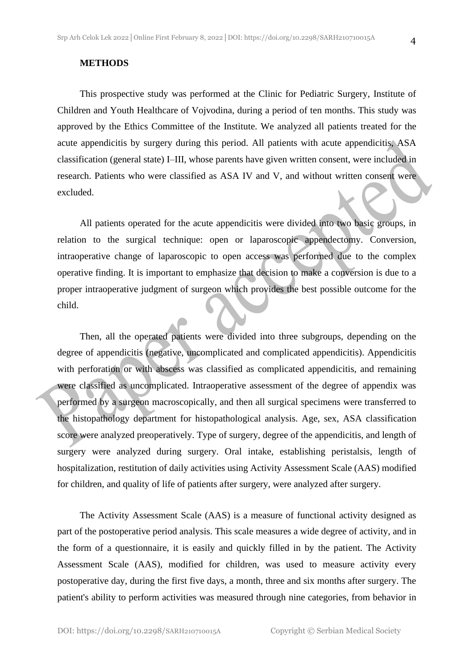#### **METHODS**

This prospective study was performed at the Clinic for Pediatric Surgery, Institute of Children and Youth Healthcare of Vojvodina, during a period of ten months. This study was approved by the Ethics Committee of the Institute. We analyzed all patients treated for the acute appendicitis by surgery during this period. All patients with acute appendicitis, ASA classification (general state) I–III, whose parents have given written consent, were included in research. Patients who were classified as ASA IV and V, and without written consent were excluded.

All patients operated for the acute appendicitis were divided into two basic groups, in relation to the surgical technique: open or laparoscopic appendectomy. Conversion, intraoperative change of laparoscopic to open access was performed due to the complex operative finding. It is important to emphasize that decision to make a conversion is due to a proper intraoperative judgment of surgeon which provides the best possible outcome for the child.

Then, all the operated patients were divided into three subgroups, depending on the degree of appendicitis (negative, uncomplicated and complicated appendicitis). Appendicitis with perforation or with abscess was classified as complicated appendicitis, and remaining were classified as uncomplicated. Intraoperative assessment of the degree of appendix was performed by a surgeon macroscopically, and then all surgical specimens were transferred to the histopathology department for histopathological analysis. Age, sex, ASA classification score were analyzed preoperatively. Type of surgery, degree of the appendicitis, and length of surgery were analyzed during surgery. Oral intake, establishing peristalsis, length of hospitalization, restitution of daily activities using Activity Assessment Scale (AAS) modified for children, and quality of life of patients after surgery, were analyzed after surgery.

The Activity Assessment Scale (AAS) is a measure of functional activity designed as part of the postoperative period analysis. This scale measures a wide degree of activity, and in the form of a questionnaire, it is easily and quickly filled in by the patient. The Activity Assessment Scale (AAS), modified for children, was used to measure activity every postoperative day, during the first five days, a month, three and six months after surgery. The patient's ability to perform activities was measured through nine categories, from behavior in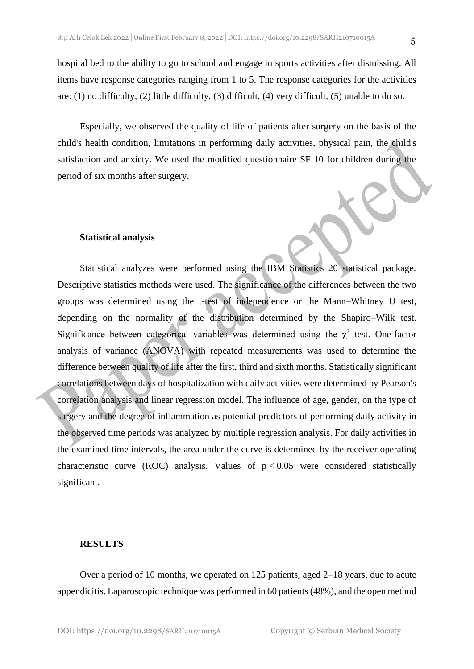hospital bed to the ability to go to school and engage in sports activities after dismissing. All items have response categories ranging from 1 to 5. The response categories for the activities are: (1) no difficulty, (2) little difficulty, (3) difficult, (4) very difficult, (5) unable to do so.

Especially, we observed the quality of life of patients after surgery on the basis of the child's health condition, limitations in performing daily activities, physical pain, the child's satisfaction and anxiety. We used the modified questionnaire SF 10 for children during the period of six months after surgery.

#### **Statistical analysis**

Statistical analyzes were performed using the IBM Statistics 20 statistical package. Descriptive statistics methods were used. The significance of the differences between the two groups was determined using the t-test of independence or the Mann–Whitney U test, depending on the normality of the distribution determined by the Shapiro–Wilk test. Significance between categorical variables was determined using the  $\chi^2$  test. One-factor analysis of variance (ANOVA) with repeated measurements was used to determine the difference between quality of life after the first, third and sixth months. Statistically significant correlations between days of hospitalization with daily activities were determined by Pearson's correlation analysis and linear regression model. The influence of age, gender, on the type of surgery and the degree of inflammation as potential predictors of performing daily activity in the observed time periods was analyzed by multiple regression analysis. For daily activities in the examined time intervals, the area under the curve is determined by the receiver operating characteristic curve (ROC) analysis. Values of  $p < 0.05$  were considered statistically significant.

#### **RESULTS**

Over a period of 10 months, we operated on 125 patients, aged 2–18 years, due to acute appendicitis. Laparoscopic technique was performed in 60 patients (48%), and the open method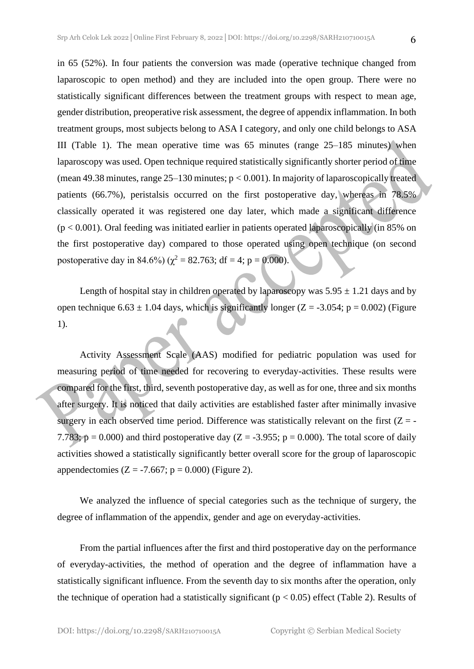in 65 (52%). In four patients the conversion was made (operative technique changed from laparoscopic to open method) and they are included into the open group. There were no statistically significant differences between the treatment groups with respect to mean age, gender distribution, preoperative risk assessment, the degree of appendix inflammation. In both treatment groups, most subjects belong to ASA I category, and only one child belongs to ASA III (Table 1). The mean operative time was 65 minutes (range 25–185 minutes) when laparoscopy was used. Open technique required statistically significantly shorter period of time (mean 49.38 minutes, range  $25-130$  minutes;  $p < 0.001$ ). In majority of laparoscopically treated patients (66.7%), peristalsis occurred on the first postoperative day, whereas in 78.5% classically operated it was registered one day later, which made a significant difference  $(p < 0.001)$ . Oral feeding was initiated earlier in patients operated laparoscopically (in 85% on the first postoperative day) compared to those operated using open technique (on second postoperative day in 84.6%) ( $\chi^2 = 82.763$ ; df = 4; p = 0.000).

Length of hospital stay in children operated by laparoscopy was  $5.95 \pm 1.21$  days and by open technique  $6.63 \pm 1.04$  days, which is significantly longer (Z = -3.054; p = 0.002) (Figure 1).

Activity Assessment Scale (AAS) modified for pediatric population was used for measuring period of time needed for recovering to everyday-activities. These results were compared for the first, third, seventh postoperative day, as well as for one, three and six months after surgery. It is noticed that daily activities are established faster after minimally invasive surgery in each observed time period. Difference was statistically relevant on the first  $(Z = -$ 7.783;  $p = 0.000$ ) and third postoperative day (Z = -3.955; p = 0.000). The total score of daily activities showed a statistically significantly better overall score for the group of laparoscopic appendectomies (Z = -7.667;  $p = 0.000$ ) (Figure 2).

We analyzed the influence of special categories such as the technique of surgery, the degree of inflammation of the appendix, gender and age on everyday-activities.

From the partial influences after the first and third postoperative day on the performance of everyday-activities, the method of operation and the degree of inflammation have a statistically significant influence. From the seventh day to six months after the operation, only the technique of operation had a statistically significant ( $p < 0.05$ ) effect (Table 2). Results of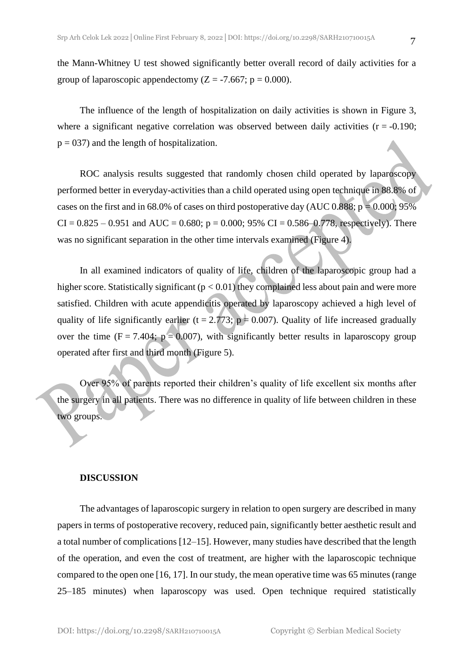the Mann-Whitney U test showed significantly better overall record of daily activities for a group of laparoscopic appendectomy ( $Z = -7.667$ ; p = 0.000).

The influence of the length of hospitalization on daily activities is shown in Figure 3, where a significant negative correlation was observed between daily activities  $(r = -0.190)$ ;  $p = 037$ ) and the length of hospitalization.

ROC analysis results suggested that randomly chosen child operated by laparoscopy performed better in everyday-activities than a child operated using open technique in 88.8% of cases on the first and in 68.0% of cases on third postoperative day (AUC 0.888;  $p = 0.000$ ; 95%  $CI = 0.825 - 0.951$  and  $AUC = 0.680$ ;  $p = 0.000$ ; 95%  $CI = 0.586 - 0.778$ , respectively). There was no significant separation in the other time intervals examined (Figure 4).

In all examined indicators of quality of life, children of the laparoscopic group had a higher score. Statistically significant ( $p < 0.01$ ) they complained less about pain and were more satisfied. Children with acute appendicitis operated by laparoscopy achieved a high level of quality of life significantly earlier (t = 2.773;  $p = 0.007$ ). Quality of life increased gradually over the time (F = 7.404;  $p = 0.007$ ), with significantly better results in laparoscopy group operated after first and third month (Figure 5).

Over 95% of parents reported their children's quality of life excellent six months after the surgery in all patients. There was no difference in quality of life between children in these two groups.

#### **DISCUSSION**

The advantages of laparoscopic surgery in relation to open surgery are described in many papers in terms of postoperative recovery, reduced pain, significantly better aesthetic result and a total number of complications [12–15]. However, many studies have described that the length of the operation, and even the cost of treatment, are higher with the laparoscopic technique compared to the open one [16, 17]. In our study, the mean operative time was 65 minutes (range 25–185 minutes) when laparoscopy was used. Open technique required statistically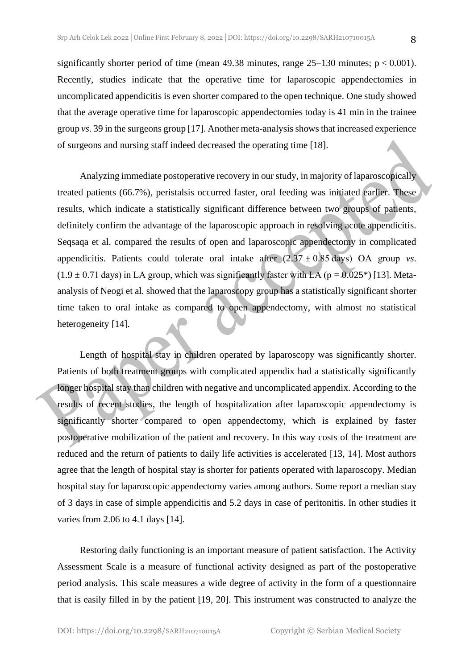significantly shorter period of time (mean 49.38 minutes, range  $25-130$  minutes;  $p < 0.001$ ). Recently, studies indicate that the operative time for laparoscopic appendectomies in uncomplicated appendicitis is even shorter compared to the open technique. One study showed that the average operative time for laparoscopic appendectomies today is 41 min in the trainee group *vs*. 39 in the surgeons group [17]. Another meta-analysis shows that increased experience of surgeons and nursing staff indeed decreased the operating time [18].

Analyzing immediate postoperative recovery in our study, in majority of laparoscopically treated patients (66.7%), peristalsis occurred faster, oral feeding was initiated earlier. These results, which indicate a statistically significant difference between two groups of patients, definitely confirm the advantage of the laparoscopic approach in resolving acute appendicitis. Seqsaqa et al. compared the results of open and laparoscopic appendectomy in complicated appendicitis. Patients could tolerate oral intake after  $(2.37 \pm 0.85 \text{ days})$  OA group *vs*.  $(1.9 \pm 0.71$  days) in LA group, which was significantly faster with LA (p = 0.025<sup>\*</sup>) [13]. Metaanalysis of Neogi et al*.* showed that the laparoscopy group has a statistically significant shorter time taken to oral intake as compared to open appendectomy, with almost no statistical heterogeneity [14].

Length of hospital stay in children operated by laparoscopy was significantly shorter. Patients of both treatment groups with complicated appendix had a statistically significantly longer hospital stay than children with negative and uncomplicated appendix. According to the results of recent studies, the length of hospitalization after laparoscopic appendectomy is significantly shorter compared to open appendectomy, which is explained by faster postoperative mobilization of the patient and recovery. In this way costs of the treatment are reduced and the return of patients to daily life activities is accelerated [13, 14]. Most authors agree that the length of hospital stay is shorter for patients operated with laparoscopy. Median hospital stay for laparoscopic appendectomy varies among authors. Some report a median stay of 3 days in case of simple appendicitis and 5.2 days in case of peritonitis. In other studies it varies from 2.06 to 4.1 days [14].

Restoring daily functioning is an important measure of patient satisfaction. The Activity Assessment Scale is a measure of functional activity designed as part of the postoperative period analysis. This scale measures a wide degree of activity in the form of a questionnaire that is easily filled in by the patient [19, 20]. This instrument was constructed to analyze the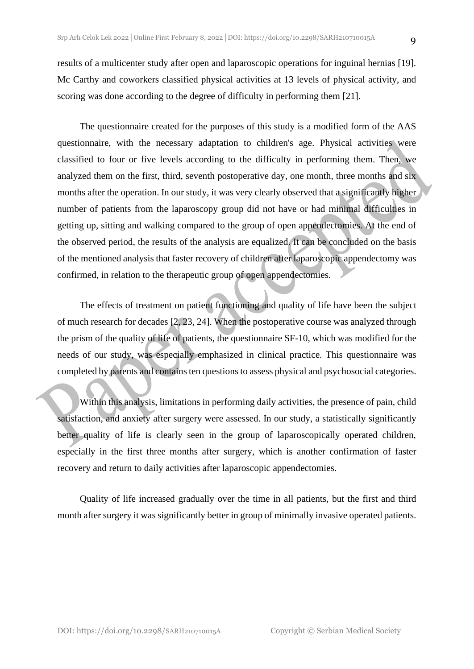results of a multicenter study after open and laparoscopic operations for inguinal hernias [19]. Mc Carthy and coworkers classified physical activities at 13 levels of physical activity, and scoring was done according to the degree of difficulty in performing them [21].

The questionnaire created for the purposes of this study is a modified form of the AAS questionnaire, with the necessary adaptation to children's age. Physical activities were classified to four or five levels according to the difficulty in performing them. Then, we analyzed them on the first, third, seventh postoperative day, one month, three months and six months after the operation. In our study, it was very clearly observed that a significantly higher number of patients from the laparoscopy group did not have or had minimal difficulties in getting up, sitting and walking compared to the group of open appendectomies. At the end of the observed period, the results of the analysis are equalized. It can be concluded on the basis of the mentioned analysis that faster recovery of children after laparoscopic appendectomy was confirmed, in relation to the therapeutic group of open appendectomies.

The effects of treatment on patient functioning and quality of life have been the subject of much research for decades [2, 23, 24]. When the postoperative course was analyzed through the prism of the quality of life of patients, the questionnaire SF-10, which was modified for the needs of our study, was especially emphasized in clinical practice. This questionnaire was completed by parents and contains ten questions to assess physical and psychosocial categories.

Within this analysis, limitations in performing daily activities, the presence of pain, child satisfaction, and anxiety after surgery were assessed. In our study, a statistically significantly better quality of life is clearly seen in the group of laparoscopically operated children, especially in the first three months after surgery, which is another confirmation of faster recovery and return to daily activities after laparoscopic appendectomies.

Quality of life increased gradually over the time in all patients, but the first and third month after surgery it was significantly better in group of minimally invasive operated patients.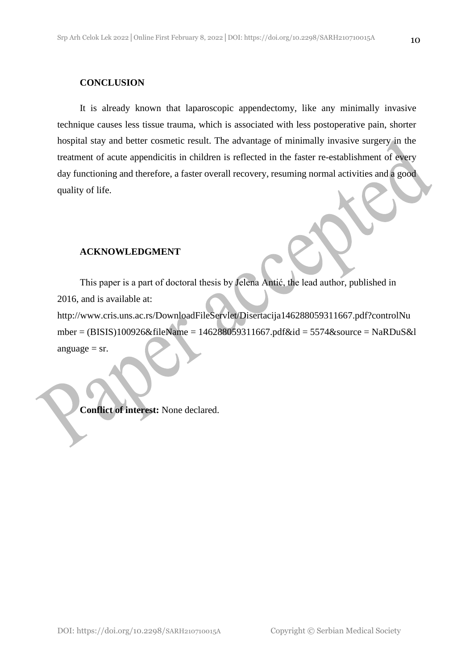#### **CONCLUSION**

It is already known that laparoscopic appendectomy, like any minimally invasive technique causes less tissue trauma, which is associated with less postoperative pain, shorter hospital stay and better cosmetic result. The advantage of minimally invasive surgery in the treatment of acute appendicitis in children is reflected in the faster re-establishment of every day functioning and therefore, a faster overall recovery, resuming normal activities and a good quality of life.

#### **ACKNOWLEDGMENT**

This paper is a part of doctoral thesis by Jelena Antić, the lead author, published in 2016, and is available at:

http://www.cris.uns.ac.rs/DownloadFileServlet/Disertacija146288059311667.pdf?controlNu mber = (BISIS)100926&fileName = 146288059311667.pdf&id = 5574&source = NaRDuS&l anguage  $=$  sr.

**Conflict of interest:** None declared.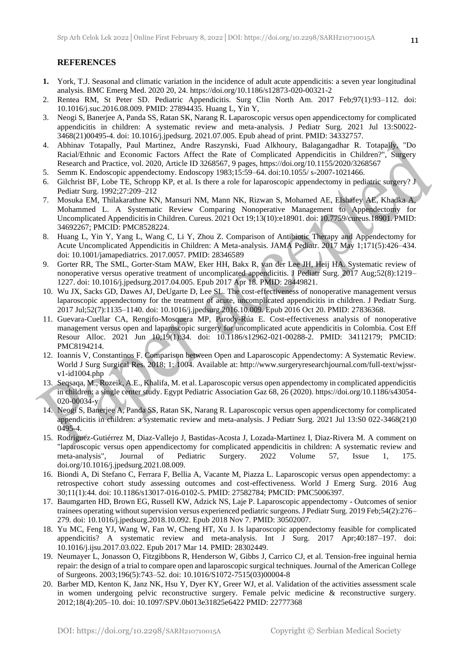#### **REFERENCES**

- **1.** York, T.J. Seasonal and climatic variation in the incidence of adult acute appendicitis: a seven year longitudinal analysis. BMC Emerg Med. 2020 20, 24. https://doi.org/10.1186/s12873-020-00321-2
- 2. Rentea RM, St Peter SD. Pediatric Appendicitis. Surg Clin North Am. 2017 Feb;97(1):93–112. doi: 10.1016/j.suc.2016.08.009. PMID: 27894435. Huang L, Yin Y,
- 3. Neogi S, Banerjee A, Panda SS, Ratan SK, Narang R. Laparoscopic versus open appendicectomy for complicated appendicitis in children: A systematic review and meta-analysis. J Pediatr Surg. 2021 Jul 13:S0022- 3468(21)00495-4. doi: 10.1016/j.jpedsurg. 2021.07.005. Epub ahead of print. PMID: 34332757.
- 4. Abhinav Totapally, Paul Martinez, Andre Raszynski, Fuad Alkhoury, Balagangadhar R. Totapally, "Do Racial/Ethnic and Economic Factors Affect the Rate of Complicated Appendicitis in Children?", Surgery Research and Practice, vol. 2020, Article ID 3268567, 9 pages, https://doi.org/10.1155/2020/3268567
- 5. Semm K. Endoscopic appendectomy. Endoscopy 1983;15:59–64. doi:10.1055/ s-2007-1021466.
- 6. Gilchrist BF, Lobe TE, Schropp KP, et al. Is there a role for laparoscopic appendectomy in pediatric surgery? J Pediatr Surg. 1992;27:209–212
- 7. Mosuka EM, Thilakarathne KN, Mansuri NM, Mann NK, Rizwan S, Mohamed AE, Elshafey AE, Khadka A, Mohammed L. A Systematic Review Comparing Nonoperative Management to Appendectomy for Uncomplicated Appendicitis in Children. Cureus. 2021 Oct 19;13(10):e18901. doi: 10.7759/cureus.18901. PMID: 34692267; PMCID: PMC8528224.
- 8. Huang L, Yin Y, Yang L, Wang C, Li Y, Zhou Z. Comparison of Antibiotic Therapy and Appendectomy for Acute Uncomplicated Appendicitis in Children: A Meta-analysis. JAMA Pediatr. 2017 May 1;171(5):426–434. doi: 10.1001/jamapediatrics. 2017.0057. PMID: 28346589
- 9. Gorter RR, The SML, Gorter-Stam MAW, Eker HH, Bakx R, van der Lee JH, Heij HA. Systematic review of nonoperative versus operative treatment of uncomplicated appendicitis. J Pediatr Surg. 2017 Aug;52(8):1219– 1227. doi: 10.1016/j.jpedsurg.2017.04.005. Epub 2017 Apr 18. PMID: 28449821.
- 10. Wu JX, Sacks GD, Dawes AJ, DeUgarte D, Lee SL. The cost-effectiveness of nonoperative management versus laparoscopic appendectomy for the treatment of acute, uncomplicated appendicitis in children. J Pediatr Surg. 2017 Jul;52(7):1135–1140. doi: 10.1016/j.jpedsurg.2016.10.009. Epub 2016 Oct 20. PMID: 27836368.
- 11. Guevara-Cuellar CA, Rengifo-Mosquera MP, Parody-Rúa E. Cost-effectiveness analysis of nonoperative management versus open and laparoscopic surgery for uncomplicated acute appendicitis in Colombia. Cost Eff Resour Alloc. 2021 Jun 10;19(1):34. doi: 10.1186/s12962-021-00288-2. PMID: 34112179; PMCID: PMC8194214.
- 12. Ioannis V, Constantinos F. Comparison between Open and Laparoscopic Appendectomy: A Systematic Review. World J Surg Surgical Res. 2018; 1: 1004. Available at: http://www.surgeryresearchjournal.com/full-text/wjssrv1-id1004.php
- 13. Seqsaqa, M., Rozeik, A.E., Khalifa, M. et al. Laparoscopic versus open appendectomy in complicated appendicitis in children: a single center study. Egypt Pediatric Association Gaz 68, 26 (2020). https://doi.org/10.1186/s43054- 020-00034-y
- 14. Neogi S, Banerjee A, Panda SS, Ratan SK, Narang R. Laparoscopic versus open appendicectomy for complicated appendicitis in children: a systematic review and meta-analysis. J Pediatr Surg. 2021 Jul 13:S0 022-3468(21)0 0495-4.
- 15. Rodriguez-Gutiérrez M, Diaz-Vallejo J, Bastidas-Acosta J, Lozada-Martinez I, Diaz-Rivera M. A comment on "laparoscopic versus open appendicectomy for complicated appendicitis in children: A systematic review and meta-analysis", Journal of Pediatric Surgery. 2022 Volume 57. Issue 1. 175. meta-analysis", Journal of Pediatric Surgery. 2022 Volume 57, Issue 1, 175. doi.org/10.1016/j.jpedsurg.2021.08.009.
- 16. Biondi A, Di Stefano C, Ferrara F, Bellia A, Vacante M, Piazza L. Laparoscopic versus open appendectomy: a retrospective cohort study assessing outcomes and cost-effectiveness. World J Emerg Surg. 2016 Aug 30;11(1):44. doi: 10.1186/s13017-016-0102-5. PMID: 27582784; PMCID: PMC5006397.
- 17. Baumgarten HD, Brown EG, Russell KW, Adzick NS, Laje P. Laparoscopic appendectomy Outcomes of senior trainees operating without supervision versus experienced pediatric surgeons. J Pediatr Surg. 2019 Feb;54(2):276– 279. doi: 10.1016/j.jpedsurg.2018.10.092. Epub 2018 Nov 7. PMID: 30502007.
- 18. Yu MC, Feng YJ, Wang W, Fan W, Cheng HT, Xu J. Is laparoscopic appendectomy feasible for complicated appendicitis? A systematic review and meta-analysis. Int J Surg. 2017 Apr;40:187–197. doi: 10.1016/j.ijsu.2017.03.022. Epub 2017 Mar 14. PMID: 28302449.
- 19. Neumayer L, Jonasson O, Fitzgibbons R, Henderson W, Gibbs J, Carrico CJ, et al. Tension-free inguinal hernia repair: the design of a trial to compare open and laparoscopic surgical techniques. Journal of the American College of Surgeons. 2003;196(5):743–52. doi: 10.1016/S1072-7515(03)00004-8
- 20. Barber MD, Kenton K, Janz NK, Hsu Y, Dyer KY, Greer WJ, et al. Validation of the activities assessment scale in women undergoing pelvic reconstructive surgery. Female pelvic medicine & reconstructive surgery. 2012;18(4):205–10. doi: 10.1097/SPV.0b013e31825e6422 PMID: 22777368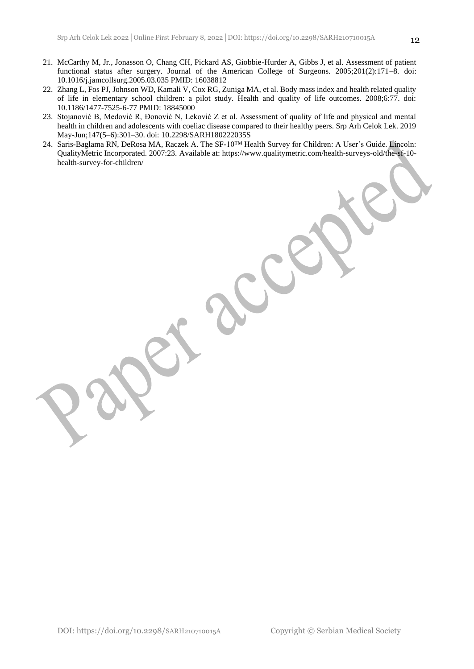- 21. McCarthy M, Jr., Jonasson O, Chang CH, Pickard AS, Giobbie-Hurder A, Gibbs J, et al. Assessment of patient functional status after surgery. Journal of the American College of Surgeons. 2005;201(2):171–8. doi: 10.1016/j.jamcollsurg.2005.03.035 PMID: 16038812
- 22. Zhang L, Fos PJ, Johnson WD, Kamali V, Cox RG, Zuniga MA, et al. Body mass index and health related quality of life in elementary school children: a pilot study. Health and quality of life outcomes. 2008;6:77. doi: 10.1186/1477-7525-6-77 PMID: 18845000
- 23. Stojanović B, Medović R, Đonović N, Leković Z et al. Assessment of quality of life and physical and mental health in children and adolescents with coeliac disease compared to their healthy peers. Srp Arh Celok Lek. 2019 May-Jun;147(5–6):301–30. doi: 10.2298/SARH180222035S
- 24. Saris-Baglama RN, DeRosa MA, Raczek A. The SF-10™ Health Survey for Children: A User's Guide. Lincoln: QualityMetric Incorporated. 2007:23. Available at: https://www.qualitymetric.com/health-surveys-old/the-sf-10 health-survey-for-children/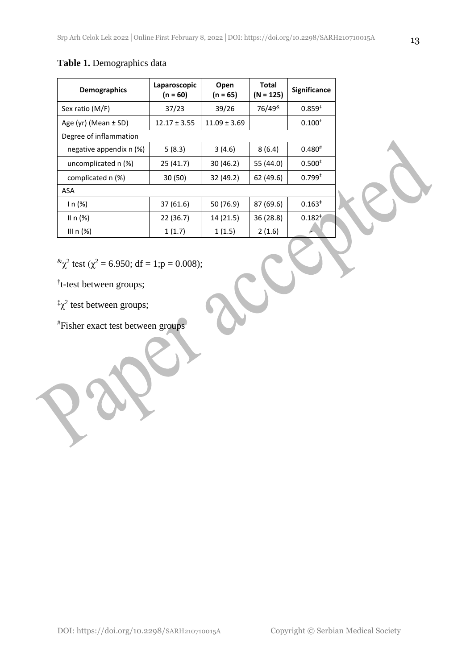### **Table 1.** Demographics data

| <b>Demographics</b>     | Laparoscopic<br>$(n = 60)$ | Open<br>$(n = 65)$ | Total<br>$(N = 125)$   | <b>Significance</b> |
|-------------------------|----------------------------|--------------------|------------------------|---------------------|
| Sex ratio (M/F)         | 37/23                      | 39/26              | 76/49 <sup>&amp;</sup> | $0.859*$            |
| Age (yr) (Mean ± SD)    | $12.17 \pm 3.55$           | $11.09 \pm 3.69$   |                        | $0.100^{+}$         |
| Degree of inflammation  |                            |                    |                        |                     |
| negative appendix n (%) | 5(8.3)                     | 3(4.6)             | 8(6.4)                 | $0.480*$            |
| uncomplicated n (%)     | 25(41.7)                   | 30 (46.2)          | 55 (44.0)              | $0.500*$            |
| complicated n (%)       | 30 (50)                    | 32 (49.2)          | 62 (49.6)              | $0.799^{*}$         |
| ASA                     |                            |                    |                        |                     |
| ln(%)                   | 37 (61.6)                  | 50 (76.9)          | 87 (69.6)              | $0.163*$            |
| II n $(\%)$             | 22 (36.7)                  | 14 (21.5)          | 36 (28.8)              | $0.182^{*}$         |
| III $n$ (%)             | 1(1.7)                     | 1(1.5)             | 2(1.6)                 |                     |

C

 ${}^{\&}\chi^2$  test ( $\chi^2$  = 6.950; df = 1;p = 0.008);

† t-test between groups;

 $\frac{1}{2}$  test between groups;

#Fisher exact test between groups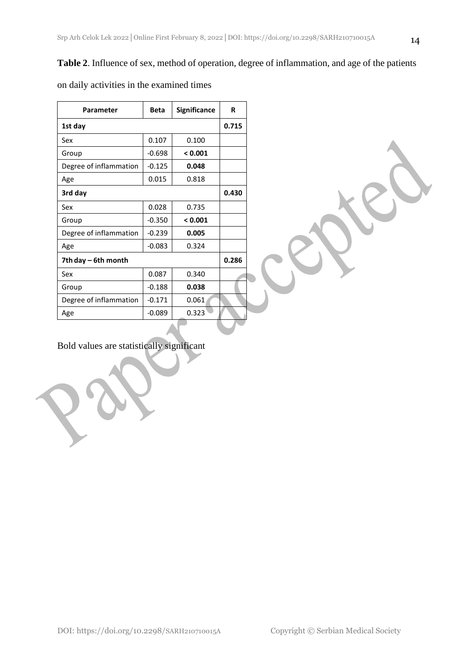### **Table 2**. Influence of sex, method of operation, degree of inflammation, and age of the patients

| Parameter              | <b>Beta</b> | Significance | R |  |
|------------------------|-------------|--------------|---|--|
| 1st day                |             | 0.715        |   |  |
| Sex                    | 0.107       | 0.100        |   |  |
| Group                  | $-0.698$    | < 0.001      |   |  |
| Degree of inflammation | $-0.125$    | 0.048        |   |  |
| Age                    | 0.015       | 0.818        |   |  |
| 3rd day                |             |              |   |  |
| Sex                    | 0.028       | 0.735        |   |  |
| Group                  | $-0.350$    | < 0.001      |   |  |
| Degree of inflammation | $-0.239$    | 0.005        |   |  |
| Age                    | $-0.083$    | 0.324        |   |  |
| 7th day – 6th month    |             |              |   |  |
| Sex                    | 0.087       | 0.340        |   |  |
| Group                  | $-0.188$    | 0.038        |   |  |
| Degree of inflammation | $-0.171$    | 0.061        |   |  |
| Age                    | $-0.089$    | 0.323        |   |  |

on daily activities in the examined times

Bold values are statistically significant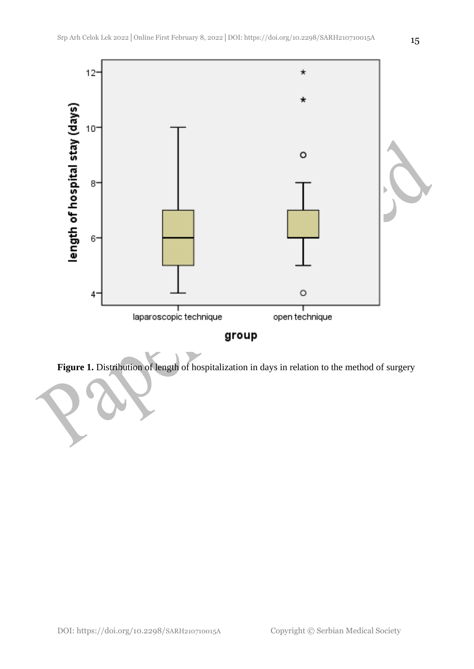

**Figure 1.** Distribution of length of hospitalization in days in relation to the method of surgery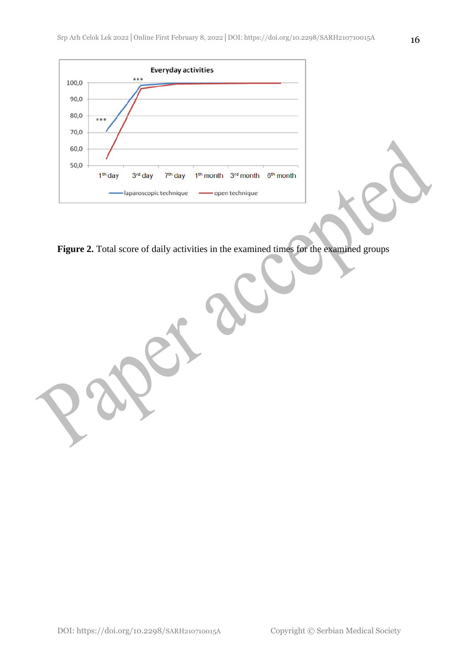

Figure 2. Total score of daily activities in the examined times for the examined groups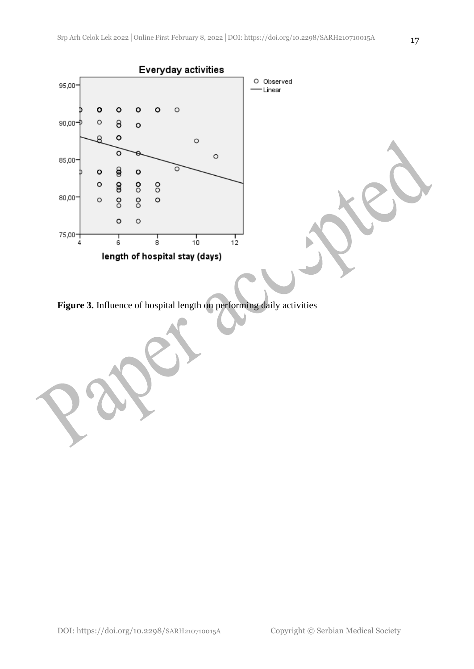

**Figure 3.** Influence of hospital length on performing daily activities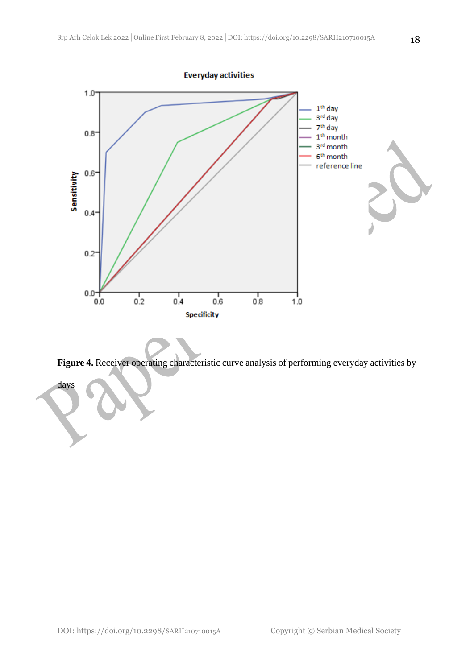

**Figure 4.** Receiver operating characteristic curve analysis of performing everyday activities by

days